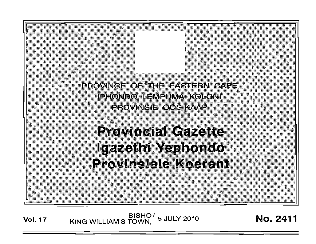

BISHO/ 5 JULY 2010<br>KING WILLIAM'S TOWN, **Vol. 17** 

**No. 2411**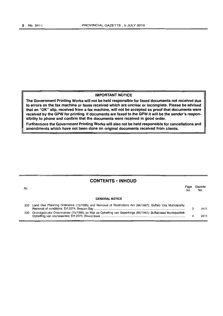#### **IMPORTANT NOTICE**

**The Government Printing Works will not be held responsible for faxed documents not received due to errors on the fax machine or faxes received which are unclear or incomplete. Please be advised that an "OK" slip, received from a fax machine, will not be accepted as proof that documents were received by the GPW for printing. If documents are faxed to the GPW it will be the sender's responsibility to phone and confirm that the documents were received in good order.**

**Furthermore the Government Printing Works will also not be held responsible for cancellations and amendments which have not been done on originai documents received from clients.**

## **CONTENTS • INHOUD**

| No. |                                                                                                                 | Page<br>No. | Gazette<br>No. |
|-----|-----------------------------------------------------------------------------------------------------------------|-------------|----------------|
|     | <b>GENERAL NOTICE</b>                                                                                           |             |                |
|     | 230 Land Use Planning Ordinance (15/1985) and Removal of Restrictions Act (84/1967): Buffalo City Municipality: |             | 2411           |
| 230 | Grondgebruiks Ordonnansie (15/1985) en Wet op Opheffing van Beperkings (84/1967): Buffalostad Munisipaliteit:   |             | 2411           |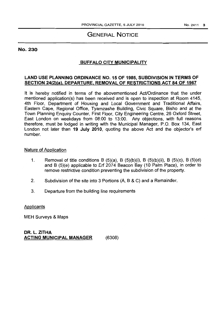# GENERAL NOTICE

#### No. 230

# BUFFALO CITY MUNICIPALITY

## LAND USE PLANNING ORDINANCE NO. 15 OF 1985, SUBDIVISION IN TERMS OF SECTION 24(2)(a). DEPARTURE. REMOVAL OF RESTRICTIONS ACT 84 OF 1967

It is hereby notified in terms of the abovementioned Act/Ordinance that the under mentioned application(s) has been received and is open to inspection at Room 4145, 4th Floor, Department of Housing and Local Government and Traditional Affairs, Eastern Cape, Regional Office, Tyamzashe Building, Civic Square, Bisho and at the Town Planning Enquiry Counter, First Floor, City Engineering Centre, 26 Oxford Street, East London on weekdays from 08:00 to 13:00. Any objections, with full reasons therefore, must be lodged in writing with the Municipal Manager, P.O. Box 134, East London not later than 19 July 2010, quoting the above Act and the objector's erf number.

### Nature of Application

- 1. Removal of title conditions B  $(5)(a)$ , B  $(5)(b)(i)$ , B  $(5)(b)(ii)$ , B  $(5)(c)$ , B  $(5)(d)$ and B (5)(e) applicable to Erf 2074 Beacon Bay (10 Palm Place), in order to remove restrictive condition preventing the subdivision of the property.
- 2. Subdivision of the site into 3 Portions (A, B & C) and a Remainder.
- 3. Departure from the building line requirements

**Applicants** 

MEH Surveys & Maps

DR. L. ZITHA ACTING MUNICIPAL MANAGER (6308)